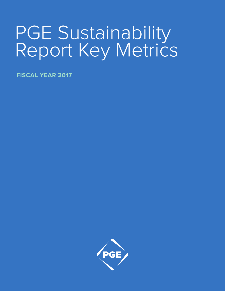# PGE Sustainability Report Key Metrics

**FISCAL YEAR 2017**

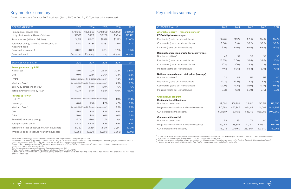| <b>CORPORATE FACTS</b>                                                   | 2013                 | 2014                 | 2015                | 2016                 | 2017                  |
|--------------------------------------------------------------------------|----------------------|----------------------|---------------------|----------------------|-----------------------|
| Population of service area<br>Utility plant assets (millions of dollars) | 1,710,000<br>\$7,598 | 1.826.000<br>\$8,718 | .848,000<br>\$9,268 | 1,865,000<br>\$9,914 | 1,901,000<br>\$10,472 |
| Revenues, net (millions of dollars)                                      | \$1,819              | \$1,900              | \$1,898             | \$1,923              | \$2,009               |
| Total retail energy delivered in thousands of<br>megawatt-hours          | 19.419               | 19.266               | 19,382              | 18,971               | 19,718                |
| Peak load (megawatts)                                                    | 3.869                | 3.866                | 3.914               | 3,726                | 3,976                 |
| Peak load month                                                          | December             | February             | July                | August               | August                |

predominantly of hydro, wind and solar.<br><sup>4</sup> Due to rounding, the sum of listed percentages may not equal 100.<br><sup>5</sup> Hydro includes power purchased from Bonneville Power Administration (BPA).<br><sup>6</sup> "Other" fuels may include bio *are not carbon-free.*

*<sup>7</sup> Data source: Based on Energy Information Administration utility annual sales and revenue. (EIA classifies customers based on their business* 

g yet remove the condition of the set of the material state in the Western Electricity Coordinating Council<br><sup>8</sup> U.S. investor-owned and public utilities greater than 1 million megawatt-hours in retail sales in the Western

## Key metrics summary

Data in this report is from our 2017 fiscal year (Jan. 1, 2017, to Dec. 31, 2017), unless otherwise noted.

| <b>CUSTOMER VALUE</b>                              | 2013              | 2014               | 2015              | 2016              | 2017              |
|----------------------------------------------------|-------------------|--------------------|-------------------|-------------------|-------------------|
| Affordable energy — reasonable prices <sup>7</sup> |                   |                    |                   |                   |                   |
| <b>PGE retail prices (average)</b>                 |                   |                    |                   |                   |                   |
| Residential (cents per kilowatt-hour)              | 10.46¢            | 11.37¢             | 11.55¢            | 11.40¢            | 11.42¢            |
| Commercial (cents per kilowatt-hour)               | 8.56 <sub>¢</sub> | $9.14$ ¢           | $9.22$ ¢          | $9.25$ ¢          | $9.26$ ¢          |
| Industrial (cents per kilowatt-hour)               | $6.10 \text{C}$   | 6.46 <sub>¢</sub>  | 6.46 <sub>¢</sub> | 6.68 <sub>¢</sub> | $6.70$ ¢          |
| Regional comparison of retail prices (average)     |                   |                    |                   |                   |                   |
| Number of utilities <sup>8</sup>                   | 46                | 37                 | 39                | 38                | 35                |
| Residential (cents per kilowatt-hour)              | 12.65¢            | 13.50¢             | 13.94¢            | 13.95¢            | 12.70¢            |
| Commercial (cents per kilowatt-hour)               | $11.73$ ¢         | 12.76¢             | 12.83¢            | 12.28¢            | 10.92¢            |
| Industrial (cents per kilowatt-hour)               | 7.46¢             | 8.35¢              | 8.68¢             | $8.41$ ¢          | 7.30 <sub>¢</sub> |
| National comparison of retail prices (average)     |                   |                    |                   |                   |                   |
| Number of utilities <sup>9</sup>                   | 211               | 213                | 214               | 213               | 210               |
| Residential (cents per kilowatt-hour)              | $12.12$ ¢         | 12.51 <sub>¢</sub> | 12.68¢            | 12.56¢            | 13.06¢            |
| Commercial (cents per kilowatt-hour)               | 10.29¢            | 10.76¢             | 10.60¢            | 10.37¢            | 10.68¢            |
| Industrial (cents per kilowatt-hour)               | 6.81q             | 7.02 <sub>¢</sub>  | 6.90¢             | 6.75¢             | 6.91 <sub>¢</sub> |
| <b>Green power program</b>                         |                   |                    |                   |                   |                   |
| <b>Residential/small business</b>                  |                   |                    |                   |                   |                   |
| Number of participants                             | 99,660            | 108,709            | 128,810           | 150,519           | 173,656           |
| Megawatt-hours sold annually (in thousands)        | 747,592           | 852,945            | 964,148           | 1,101,009         | 1,406,858         |
| CO <sub>2</sub> e avoided annually (tons)          | 500,887           | 571,618            | 646,142           | 869,285           | 1,072,659         |
| <b>Commercial/industrial</b>                       |                   |                    |                   |                   |                   |
| Number of participants                             | 158               | 151                | 179               | 190               | 200               |
| Megawatt-hours sold annually (in thousands)        | 239,068           | 353,508            | 392,240           | 410,330           | 436,708           |
| CO <sub>2</sub> e avoided annually (tons)          | 160,176           | 236,910            | 262,867           | 323,970           | 332,968           |



### **National comparison of retail prices (average)**

### **Green power program**

| SOURCES OF ENERGY <sup>1</sup>                  | 2013    | 2014                                    | 2015    | 2016     | 2017    |
|-------------------------------------------------|---------|-----------------------------------------|---------|----------|---------|
| Power generated by PGE <sup>2</sup>             |         |                                         |         |          |         |
| Natural gas                                     | 15.9%   | 17.7%                                   | 24.3%   | 30.4%    | 32.0%   |
| Coal                                            | 19.0%   | 22.1%                                   | 20.6%   | 17.4%    | 16.2%   |
| Hydro                                           |         | (included in Zero-GHG emissions energy) |         | 11.3%    | 12.2%   |
| Wind and Solar <sup>3</sup>                     |         | (included in Zero-GHG emissions energy) |         | 7.9%     | 6.2%    |
| Zero-GHG emissions energy <sup>3</sup>          | 15.8%   | 17.9%                                   | 19.0%   | N/A      | N/A     |
| Total power generated by PGE <sup>4</sup>       | 50.7%   | 57.8%                                   | 63.8%   | 67.1%    | 66.7%   |
| <b>Purchased Power<sup>2</sup></b>              |         |                                         |         |          |         |
| Hydro <sup>3,5</sup>                            |         | (included in Zero-GHG emissions energy) |         | 17.1%    | 19.4%   |
| Natural gas                                     | 6.0%    | 5.9%                                    | 4.2%    | 4.7%     | 5.5%    |
| Wind and Solar <sup>3</sup>                     |         | (included in Zero-GHG emissions energy) |         | 2.3%     | 1.5%    |
| Coal                                            | 5.6%    | 4.8%                                    | 4.2%    | 2.6%     | 1.2%    |
| Other $6$                                       | 5.0%    | 4.4%                                    | 6.1%    | 6.1%     | 5.7%    |
| Zero-GHG emissions energy                       | 32.7%   | 27.0%                                   | 21.7%   | N/A      | N/A     |
| Total purchased power <sup>4</sup>              | 49.3%   | 42.2%                                   | 36.2%   | 32.9%    | 33.3%   |
| Total system load (megawatt-hours in thousands) | 21,250  | 21,254                                  | 21,391  | 21,647   | 22,091  |
| Wholesale sales (megawatt-hours in thousands)   | (2,353) | (2,520)                                 | (2,560) | (3, 352) | (3,193) |

<sup>1</sup> PGE's sources of energy, total system load and retail load requirement for the years presented.<br><sup>2</sup> Information presented is based on data reported to Oregon DEQ in PGE's Investor Owned Utility GHG Report. The underlyi report were revised by DEQ in 2016; data may not be strictly comparable between years.<br><sup>3</sup> Prior to 2016 protocol revisions, DEQ reporting required the use of "Zero-GHG emissions energy" as an aggregated fuel category comp

# Key metrics summary

|  |  | CUSTOMER VALUE |
|--|--|----------------|
|  |  |                |
|  |  |                |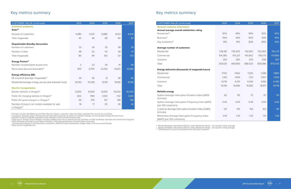| <b>CUSTOMER VALUE (continued)</b>                                          | 2013   | 2014   | 2015   | 2016   | 2017   |
|----------------------------------------------------------------------------|--------|--------|--------|--------|--------|
| <b>Customer programs</b>                                                   |        |        |        |        |        |
| Solar <sup>10</sup>                                                        |        |        |        |        |        |
| Number of customers                                                        | 4,480  | 5,531  | 6,880  | 8,123  | 9,476  |
| Total megawatts                                                            | 40     | 48     | 68     | 80     | 87     |
| <b>Dispatchable Standby Generation</b>                                     |        |        |        |        |        |
| Number of customers                                                        | 33     | 34     | 35     | 38     | 39     |
| Number of sites                                                            | 48     | 52     | 54     | 58     | 61     |
| Total megawatts                                                            | 89     | 94     | 105    | 121    | 123    |
| <b>Energy Partner<sup>11</sup></b>                                         |        |        |        |        |        |
| Number of participants at year-end                                         | 3      | 23     | 34     | 41     | 49     |
| Nominated demand (kilowatts) <sup>12</sup>                                 | 300    | 6,745  | 12,200 | 8,625  | 10,585 |
| <b>Energy efficiency (EE)</b>                                              |        |        |        |        |        |
| EE acquired (average megawatts) <sup>13</sup>                              | 34     | 36     | 31     | 38     | 40     |
| Residential average energy use per year (kilowatt-hours)                   | 10,443 | 10,358 | 10,191 | 10,106 | 9,766  |
| <b>Electric transportation</b>                                             |        |        |        |        |        |
| Electric vehicles in Oregon <sup>14</sup>                                  | 4,000  | 6,000  | 9,000  | 10,500 | 16,000 |
| Public EV charging stations in Oregon <sup>15</sup>                        | 802    | 996    | 1,002  | 1,112  | 1,224  |
| Public EV quick-chargers in Oregon <sup>15</sup>                           | 64     | 109    | 157    | 198    | 199    |
| Number of plug-in car models available for sale<br>in Oregon <sup>15</sup> | 16     | 17     | 20     | 26     | 42     |

<sup>10</sup> Number includes Net Metering and Solar Payment Option customers; data calculation adjusted from annual to cumulative.<br><sup>11</sup> A program, that pays larger commercial and industrial businesses to reduce or shift their ener

# Key metrics summary and the state of the state of the state of the Key metrics summary

| <b>CUSTOMER VALUE (continued)</b>                                             | 2013    | 2014    | 2015    | 2016    | 2017    |
|-------------------------------------------------------------------------------|---------|---------|---------|---------|---------|
| <b>General customer information</b>                                           |         |         |         |         |         |
| Annual average overall satisfaction rating                                    |         |         |         |         |         |
| Residential <sup>16</sup>                                                     | 90%     | 88%     | 89%     | 90%     | 90%     |
| Business <sup>17</sup>                                                        | 94%     | 94%     | 90%     | 93%     | 94%     |
| Key customers <sup>18</sup>                                                   | 91%     | 91%     | 83%     | 85%     | 93%     |
| <b>Average number of customers</b>                                            |         |         |         |         |         |
| Residential                                                                   | 728,481 | 735,502 | 742,467 | 752,365 | 762,211 |
| Commercial                                                                    | 104,385 | 105,231 | 105,802 | 106,773 | 107,855 |
| Industrial                                                                    | 263     | 260     | 255     | 258     | 267     |
| Total                                                                         | 833,129 | 840,993 | 848,524 | 859,396 | 870,333 |
| <b>Energy deliveries (thousands of megawatt-hours)</b>                        |         |         |         |         |         |
| Residential                                                                   | 7,702   | 7,462   | 7,325   | 7,348   | 7,880   |
| Commercial                                                                    | 7,441   | 7,494   | 7,511   | 7,457   | 7,555   |
| Industrial                                                                    | 4,276   | 4,310   | 4,546   | 4,166   | 4,283   |
| Total                                                                         | 19,419  | 19,266  | 19,382  | 18,971  | 19,718  |
| <b>Reliable energy</b>                                                        |         |         |         |         |         |
| System Average Interruption Duration Index (SAIDI)<br>(minutes)               | 62      | 95      | 75      | 97      | 113     |
| System Average Interruption Frequency Index (SAIFI)<br>(per 100 customers)    | 0.45    | 0.69    | 0.48    | 0.59    | 0.62    |
| Customer Average Interruption Duration Index (CAIDI)<br>(minutes)             | 137     | 135     | 156     | 163     | 181     |
| Momentary Average Interruption Frequency Index<br>(MAIFI) (per 100 customers) | 0.91    | 1.30    | 1.20    | 1.10    | 1.40    |



|                             | <b>CUSTOMER VALUE (continued)</b>                                             |
|-----------------------------|-------------------------------------------------------------------------------|
|                             | <b>General customer information</b>                                           |
|                             | Annual average overall satisfaction rating                                    |
| Residential <sup>16</sup>   |                                                                               |
| Business <sup>17</sup>      |                                                                               |
| Key customers <sup>18</sup> |                                                                               |
|                             | <b>Average number of customers</b>                                            |
| Residential                 |                                                                               |
| Commercial                  |                                                                               |
| Industrial                  |                                                                               |
| Total                       |                                                                               |
|                             | <b>Energy deliveries (thousands of megawatt-hours)</b>                        |
| Residential                 |                                                                               |
| Commercial                  |                                                                               |
| Industrial                  |                                                                               |
| Total                       |                                                                               |
| <b>Reliable energy</b>      |                                                                               |
|                             | System Average Interruption Duration Index (SAIDI)                            |
| (minutes)                   |                                                                               |
|                             | System Average Interruption Frequency Index (SAIFI)                           |
| (per 100 customers)         |                                                                               |
| (minutes)                   | Customer Average Interruption Duration Index (CAIDI)                          |
|                             | Momentary Average Interruption Frequency Index<br>(MAIFI) (per 100 customers) |

<sup>16</sup> Market Strategies International Electric Utility Satisfaction Study – four-quarter rolling average<br><sup>16</sup> Data source: PlugShare.com<br><sup>17</sup> Market Strategies International Electric Utility Satisfaction Study – two-quarter

POR Portland General Electric 2017 Sustainability Report POR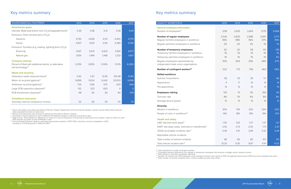*<sup>19</sup> Value calculated using data provided by PGE per Oregon Department of Environmental Quality, Investor-owned Utility GHG protocols.* 

<sup>20</sup> Electric and alternative fuel vehicles as defined by the Edison Electric Institute<br><sup>21</sup> Variability of waste disposal is due to different remediation projects underway during each year.<br><sup>22</sup> Data source: Thermofluids *PGE recycles all motor oil and antifreeze it uses 23 Environmental Protection Agency reporting requirements started in 1979. PGE's voluntary removal completed in 2015,* 

*resulting in 0 PCB disposals in 2016 and 2017.*

# Key metrics summary and the set of the set of the set of the set of the Key metrics summary

| <b>QUALITY WORKFORCE</b>                                                 |  |
|--------------------------------------------------------------------------|--|
| <b>General employee information</b><br>Number of employees <sup>24</sup> |  |
| <b>Number of regular employees</b>                                       |  |
| Regular full-time employees in workforce                                 |  |
| Regular part-time employees in workforce                                 |  |
| <b>Number of temporary employees</b>                                     |  |
| Temporary full-time employees in workforce                               |  |
| Temporary part-time employees in workforce                               |  |
| Regular employees represented by                                         |  |
| independent trade union organizations                                    |  |
| Number of contingent workers <sup>25</sup>                               |  |
| <b>Skilled workforce</b>                                                 |  |
| Summer hires/interns                                                     |  |
| Apprentices                                                              |  |
| Pre-apprentices                                                          |  |
|                                                                          |  |

### **Employees retiring**

| <b>QUALITY WORKFORCE</b>                                                  | 2013           | 2014  | 2015  | 2016  | 2017  |
|---------------------------------------------------------------------------|----------------|-------|-------|-------|-------|
| <b>General employee information</b>                                       |                |       |       |       |       |
| Number of employees <sup>24</sup>                                         | 3,118          | 3,435 | 3,404 | 3,715 | 4,068 |
| <b>Number of regular employees</b>                                        | 2,534          | 2,600 | 2,588 | 2,687 | 2.771 |
| Regular full-time employees in workforce                                  | 96%            | 98%   | 96%   | 97%   | 94%   |
| Regular part-time employees in workforce                                  | 2%             | 2%    | 2%    | $1\%$ | 1%    |
| <b>Number of temporary employees</b>                                      | 62             | 62    | 58    | 65    | 135   |
| Temporary full-time employees in workforce                                | 1%             | 1%    | 1%    | 1%    | 1%    |
| Temporary part-time employees in workforce                                | 1%             | 1%    | 1%    | 1%    | 4%    |
| Regular employees represented by<br>independent trade union organizations | 30%            | 30%   | 29%   | 28%   | 27%   |
| Number of contingent workers <sup>25</sup>                                | 522            | 773   | 758   | 963   | 1,162 |
| <b>Skilled workforce</b>                                                  |                |       |       |       |       |
| Summer hires/interns                                                      | 58             | 53    | 39    | 57    | 66    |
| Apprentices                                                               | $\overline{4}$ | 17    | 10    | 14    | 14    |
| Pre-apprentices                                                           | 14             | 13    | 10    | 13    | 15    |
| <b>Employees retiring</b>                                                 | 129            | 111   | 95    | 100   | 114   |
| Turnover rate                                                             | 8%             | 7%    | 6%    | 8%    | 8%    |
| Average tenure (years)                                                    | 15             | 15    | 15    | 14    | 13    |
| <b>Diversity</b>                                                          |                |       |       |       |       |
| Women in workforce                                                        | 30%            | 31%   | 32%   | 32%   | 33%   |
| People of color in workforce <sup>26</sup>                                | 16%            | 18%   | 19%   | 19%   | 21%   |
| <b>Health and safety</b>                                                  |                |       |       |       |       |
| LWD rate (lost work days) <sup>27</sup>                                   | 1.50           | 1.65  | 1.57  | 1.37  | 1.21  |
| DART rate (days away, restricted or transferred) <sup>27</sup>            | 2.42           | 2.74  | 2.50  | 1.73  | 2.01  |
| OSHA recordable incidents rate <sup>27</sup>                              | 4.39           | 4.51  | 3.99  | 3.32  | 3.44  |
| Reportable vehicle incidents                                              |                |       |       |       |       |
| Total number of vehicle incidents                                         | 96             | 90    | 85    | 107   | 110   |
| Total vehicle incident rate <sup>28</sup>                                 | 10.33          | 9.30  | 8.87  | 11.41 | 11.02 |



### **Diversity**

### **Health and safety**

<sup>24</sup> Data adjusted to include contingent workers<br><sup>25</sup> Contingent workers defined as non-regular or temporary employee that receives a badge and/or network access<br><sup>26</sup> Data based on voluntary employee reporting<br><sup>27</sup> Number

| <b>ENVIRONMENTAL FOOTPRINT</b>                                                      | 2013  | 2014   | 2015  | 2016     | 2017    |
|-------------------------------------------------------------------------------------|-------|--------|-------|----------|---------|
| <b>Greenhouse gases</b>                                                             |       |        |       |          |         |
| Intensity: Retail load (metric tons CO <sub>2</sub> e/megawatt-hours) <sup>19</sup> | 0.36  | 0.38   | 0.41  | 0.38     | 0.40    |
| Emissions: Fleet vehicles (tons CO <sub>2</sub> e)                                  |       |        |       |          |         |
| Gasoline                                                                            | 3,795 | 3,658  | 4,511 | 4,400    | 4,770   |
| Diesel                                                                              | 4,837 | 4,651  | 5,110 | 4,289    | 4,793   |
| Emissions: Facilities (e.g, heating, lighting) (tons CO <sub>2</sub> e)             |       |        |       |          |         |
| Electricity                                                                         | 7,647 | 9,541  | 9,424 | 7,926    | 8,517   |
| Natural gas                                                                         | 1,654 | 1,449  | 1,448 | 1,232    | 1,607   |
| <b>Company vehicles</b>                                                             |       |        |       |          |         |
| Percent of fleet with additional electric or alternative                            | 3.29% | 3.85%  | 5.50% | 5.12%    | 6.28%   |
| fuel technology <sup>20</sup>                                                       |       |        |       |          |         |
| <b>Waste and recycling</b>                                                          |       |        |       |          |         |
| Hazardous waste disposed (tons) <sup>21</sup>                                       | 0.92  | 2.97   | 12.06 | 105.48   | 12.80   |
| Motor oil recycled (gallons) <sup>22</sup>                                          | 8,899 | 10,124 | 6,042 | 20,033   | 9,098   |
| Antifreeze recycled (gallons) <sup>22</sup>                                         | 726   | 1,106  | 675   | 629      | 848     |
| Large PCB capacitors disposed <sup>23</sup>                                         | 152   | 323    | 603   | $\Omega$ | $\circ$ |
| PCB transformers disposed <sup>23</sup>                                             | 68    | 82     | 83    | 80       | 474     |
| <b>Compliance assurance</b>                                                         |       |        |       |          |         |
| Voluntary internal compliance reviews                                               | 50    | 66     | 59    | 55       | 70      |